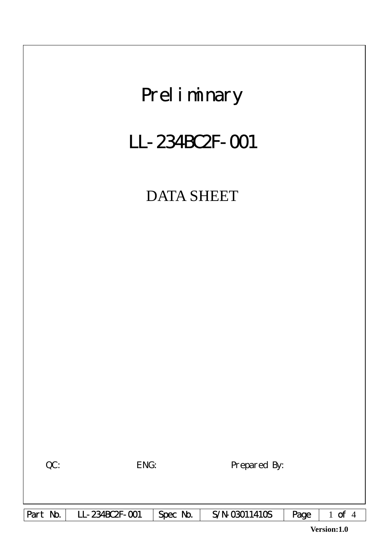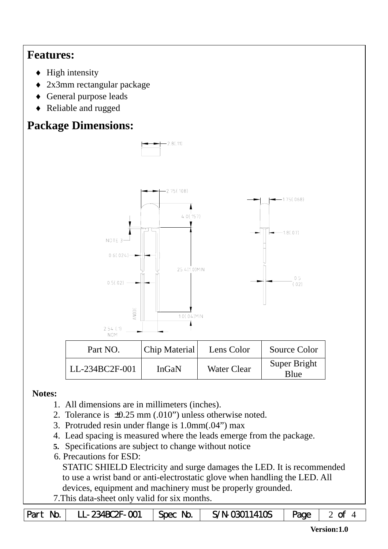## **Features:**

- $\blacklozenge$  High intensity
- ♦ 2x3mm rectangular package
- ♦ General purpose leads
- ♦ Reliable and rugged

# **Package Dimensions:**



#### **Notes:**

- 1. All dimensions are in millimeters (inches).
- 2. Tolerance is ±0.25 mm (.010") unless otherwise noted.
- 3. Protruded resin under flange is 1.0mm(.04") max
- 4. Lead spacing is measured where the leads emerge from the package.
- **5.** Specifications are subject to change without notice
- 6. Precautions for ESD:

STATIC SHIELD Electricity and surge damages the LED. It is recommended to use a wrist band or anti-electrostatic glove when handling the LED. All devices, equipment and machinery must be properly grounded.

7.This data-sheet only valid for six months.

|  | Part No.   LL-234BC2F-001   Spec No. |  | S/N-03011410S $\vert$ Page $\vert$ 2 of 4 |  |  |
|--|--------------------------------------|--|-------------------------------------------|--|--|
|--|--------------------------------------|--|-------------------------------------------|--|--|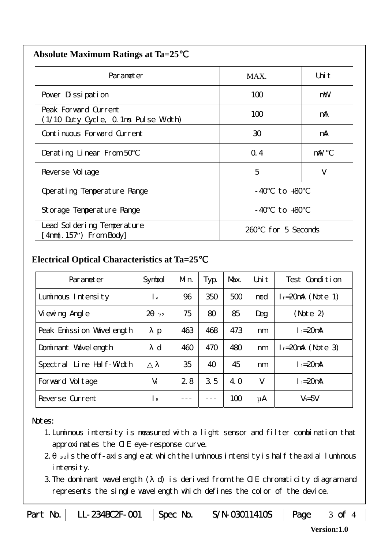| <b>Absolute Maximum Ratings at Ta=25</b> |  |
|------------------------------------------|--|
|------------------------------------------|--|

| Parameter                                                                      | MAX.           | Uni t          |  |  |  |
|--------------------------------------------------------------------------------|----------------|----------------|--|--|--|
| Pover Dissipation                                                              | 100            | mW             |  |  |  |
| Peak Forward Current<br>(1/10 Duty Cycle, 0.1ms Pulse Width)                   | 100            | mA             |  |  |  |
| Continuous Forward Current                                                     | 30             | mA             |  |  |  |
| Derating Linear From 50                                                        | Q.4            | mA/            |  |  |  |
| Reverse Vol tage                                                               | 5              | V              |  |  |  |
| Operating Temperature Range                                                    | to +80<br>- 40 |                |  |  |  |
| Storage Temperature Range                                                      |                | $-40$ to $+80$ |  |  |  |
| Lead Sol dering Temperature<br>for 5 Seconds<br>260.<br>$4mm(.157")$ From Body |                |                |  |  |  |

### **Electrical Optical Characteristics at Ta=25**℃

| Parameter                   | Symbol                    | Mn. | Typ. | Max. | Uni t | Test Condition         |  |
|-----------------------------|---------------------------|-----|------|------|-------|------------------------|--|
| Luminous Intensity          | $\mathsf{L}_{\mathsf{v}}$ | 96  | 350  | 500  | mcd   | $l_f = 20$ mA (Note 1) |  |
| Vi ewing Angl e             | 2<br>1/2                  | 75  | 80   | 85   | Deg   | (Note 2)               |  |
| Peak Emission Wavelength    | $\mathbf{p}$              | 463 | 468  | 473  | nm    | $I_f = 20$ mA          |  |
| Dominant Wavelength         | d                         | 460 | 470  | 480  | nm    | $l_f = 20$ mA (Note 3) |  |
| Line Half-Width<br>Spectral |                           | 35  | 40   | 45   | nm    | $I_f = 20$ mA          |  |
| Forward Voltage             | $V_f$                     | 2.8 | 3.5  | 4. O | V     | $I_f = 20$ mA          |  |
| Reverse Current             | $\mathsf{R}$              |     |      | 100  | μA    | $V_R = 5V$             |  |

#### Notes:

- 1.Luminous intensity is measured with a light sensor and filter combination that approximates the CIE eye-response curve.
- $2 1/2$  is the off-axis angle at which the luminous intensity is half the axial luminous intensity.
- 3.The dominant wavelength ( d) is derived from the CIE chromaticity diagram and represents the single wavelength which defines the color of the device.

|  | Part No.   LL-234BC2F-001   Spec No. |  | $S/N-03011410S$   Page   3 of 4 |  |  |
|--|--------------------------------------|--|---------------------------------|--|--|
|--|--------------------------------------|--|---------------------------------|--|--|